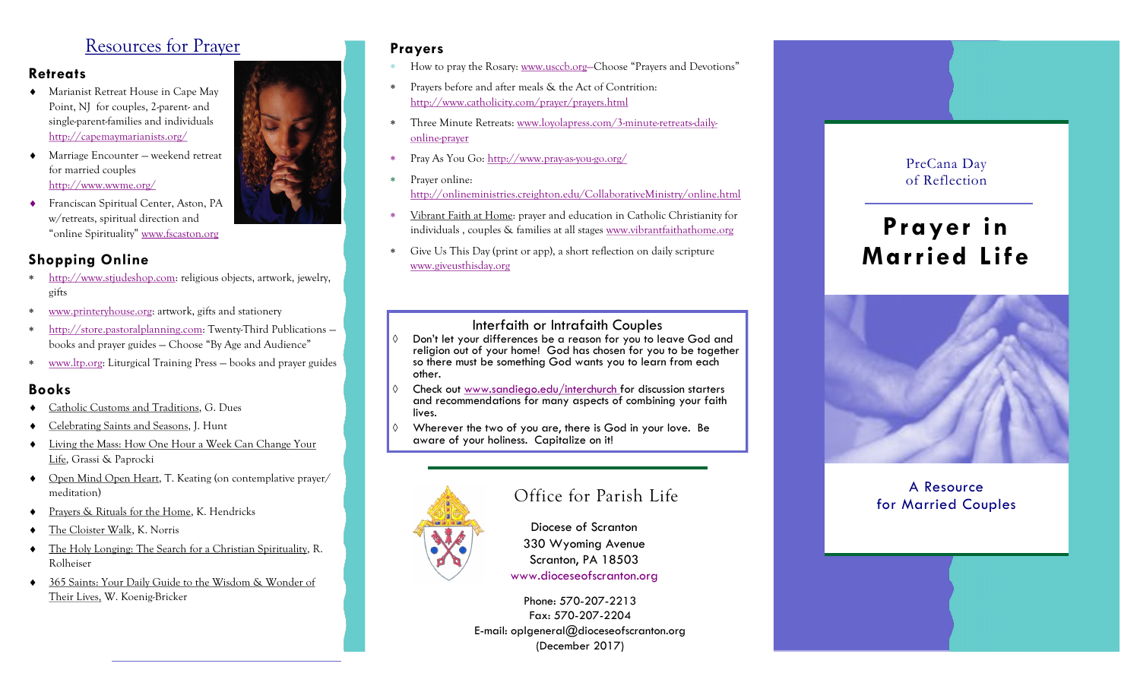## Resources for Prayer

#### **Retreats**

- Marianist Retreat House in Cape May Point, NJ for couples, 2-parent- and single-parent-families and individuals <http://capemaymarianists.org/>
- ◆ Marriage Encounter weekend retreat for married couples <http://www.wwme.org/>
- ◆ Franciscan Spiritual Center, Aston, PA w/retreats, spiritual direction and "online Spirituality" [www.fscaston.org](http://www.fscaston.org)

### **Shopping Online**

- [http://www.stjudeshop.com:](http://www.stjudeshop.com/) religious objects, artwork, jewelry, gifts
- www.printeryhouse.org: artwork, gifts and stationery
- http://store.pastoralplanning.com: Twenty-Third Publications books and prayer guides — Choose "By Age and Audience"
- www.ltp.org: Liturgical Training Press books and prayer guides

#### **Books**

- Catholic Customs and Traditions, G. Dues
- Celebrating Saints and Seasons, J. Hunt
- Living the Mass: How One Hour a Week Can Change Your Life, Grassi & Paprocki
- Open Mind Open Heart, T. Keating (on contemplative prayer/ meditation)
- Prayers & Rituals for the Home, K. Hendricks
- The Cloister Walk, K. Norris
- The Holy Longing: The Search for a Christian Spirituality, R. Rolheiser
- 365 Saints: Your Daily Guide to the Wisdom & Wonder of Their Lives, W. Koenig-Bricker

#### **Prayers**

- How to pray the Rosary: www.usccb.org-Choose "Prayers and Devotions"
- Prayers before and after meals & the Act of Contrition: <http://www.catholicity.com/prayer/prayers.html>
- Three Minute Retreats: [www.loyolapress.com/3-minute-retreats-daily](http://www.loyolapress.com/3-minute-retreats-daily-online-prayer)[online-prayer](http://www.loyolapress.com/3-minute-retreats-daily-online-prayer)
- Pray As You Go: <http://www.pray-as-you-go.org/>
- Prayer online: <http://onlineministries.creighton.edu/CollaborativeMinistry/online.html>
- Vibrant Faith at Home: prayer and education in Catholic Christianity for individuals , couples & families at all stages [www.vibrantfaithathome.org](http://www.vibrantfaithathome.org)
- Give Us This Day (print or app), a short reflection on daily scripture [www.giveusthisday.org](http://www.loyolapress.com/3-minute-retreats-daily-online-prayer)

#### Interfaith or Intrafaith Couples

- Don't let your differences be a reason for you to leave God and religion out of your home! God has chosen for you to be together so there must be something God wants you to learn from each other.
- Check out www.sandiego.edu/interchurch for discussion starters and recommendations for many aspects of combining your faith lives.
- Wherever the two of you are, there is God in your love. Be aware of your holiness. Capitalize on it!



Diocese of Scranton 330 Wyoming Avenue Scranton, PA 18503 www.dioceseofscranton.org

Phone: 570-207-2213 Fax: 570-207-2204 E-mail: oplgeneral@dioceseofscranton.org (December 2017)

#### PreCana Day of Reflection

# **Prayer in Married Life**



#### A Resource Office for Parish Life **For Married Couples** A Resource